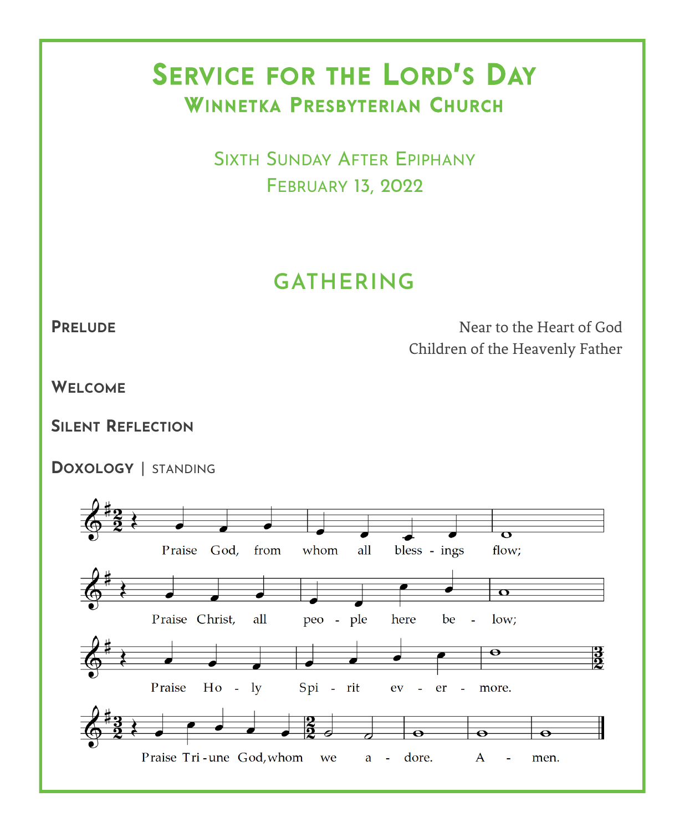# SERVICE FOR THE LORD'S DAY WINNETKA PRESBYTERIAN CHURCH

 SIXTH SUNDAY AFTER EPIPHANY FEBRUARY 13, 2022

## **GATHERING**

**PRELUDE** Near to the Heart of God Children of the Heavenly Father

**WELCOME**

**SILENT REFLECTION**

**DOXOLOGY** | STANDING

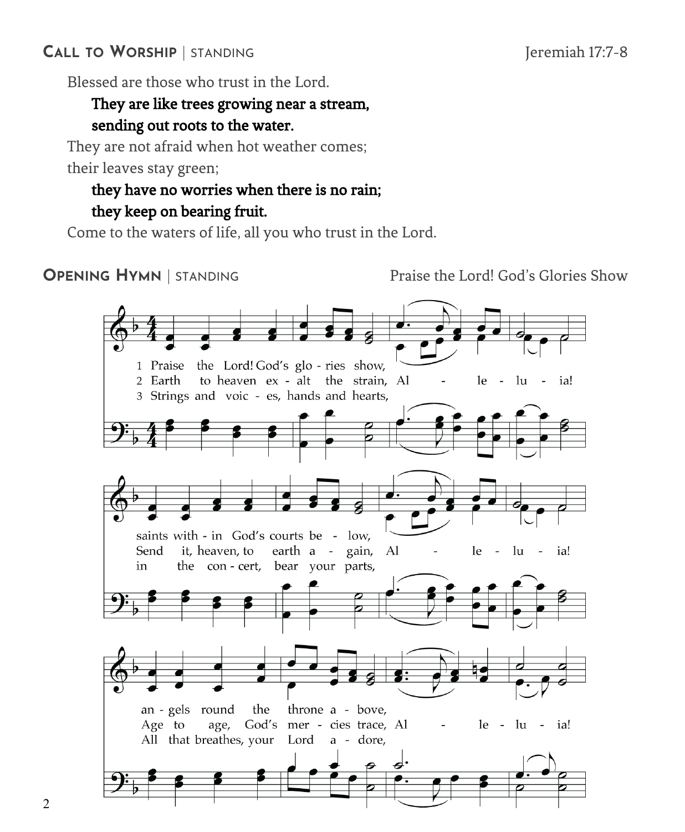## **CALL TO WORSHIP** | STANDING Jeremiah 17:7-8

Blessed are those who trust in the Lord.

## They are like trees growing near a stream, sending out roots to the water.

They are not afraid when hot weather comes; their leaves stay green;

## they have no worries when there is no rain; they keep on bearing fruit.

Come to the waters of life, all you who trust in the Lord.

**OPENING HYMN** | STANDING **Praise the Lord! God's Glories Show** 

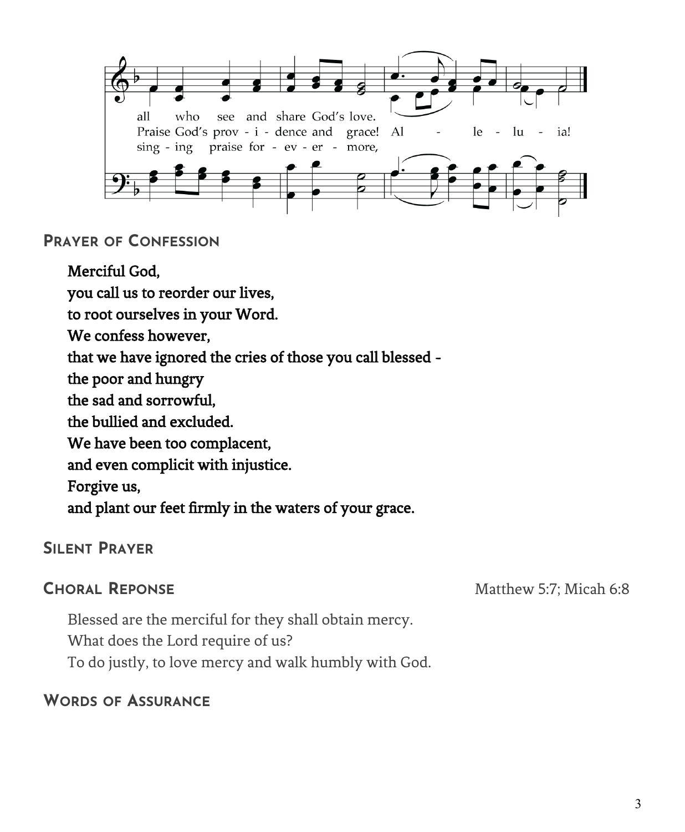

#### **PRAYER OF CONFESSION**

Merciful God, you call us to reorder our lives, to root ourselves in your Word. We confess however, that we have ignored the cries of those you call blessed the poor and hungry the sad and sorrowful, the bullied and excluded. We have been too complacent, and even complicit with injustice. Forgive us, and plant our feet firmly in the waters of your grace.

## **SILENT PRAYER**

**CHORAL REPONSE** Matthew 5:7; Micah 6:8

Blessed are the merciful for they shall obtain mercy. What does the Lord require of us? To do justly, to love mercy and walk humbly with God.

## **WORDS OF ASSURANCE**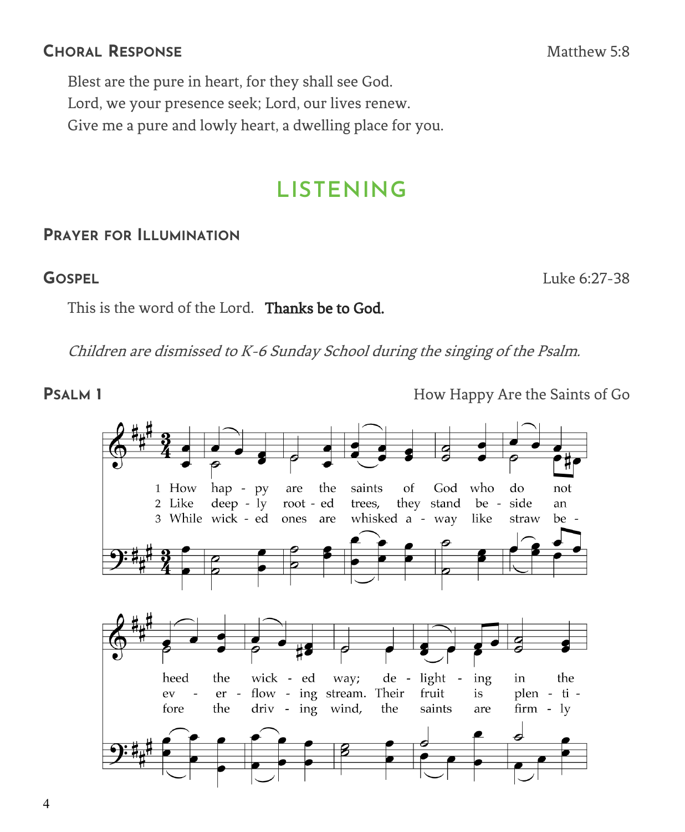Blest are the pure in heart, for they shall see God. Lord, we your presence seek; Lord, our lives renew. Give me a pure and lowly heart, a dwelling place for you.

## **LISTENING**

### **PRAYER FOR ILLUMINATION**

This is the word of the Lord. Thanks be to God.

Children are dismissed to K-6 Sunday School during the singing of the Psalm.

**PSALM 1 How Happy Are the Saints of Go** 

1 How hap - py are the saints of God who do not root - ed 2 Like  $deep - ly$ trees, they stand be side an 3 While wick - ed whisked a - way ones are like straw be heed the wick - ed way; de light ing the in er - flow - ing stream. Their fruit is plen - ti ev the driv - ing wind, the saints fore are  $firm - ly$ 

**GOSPEL** Luke 6:27-38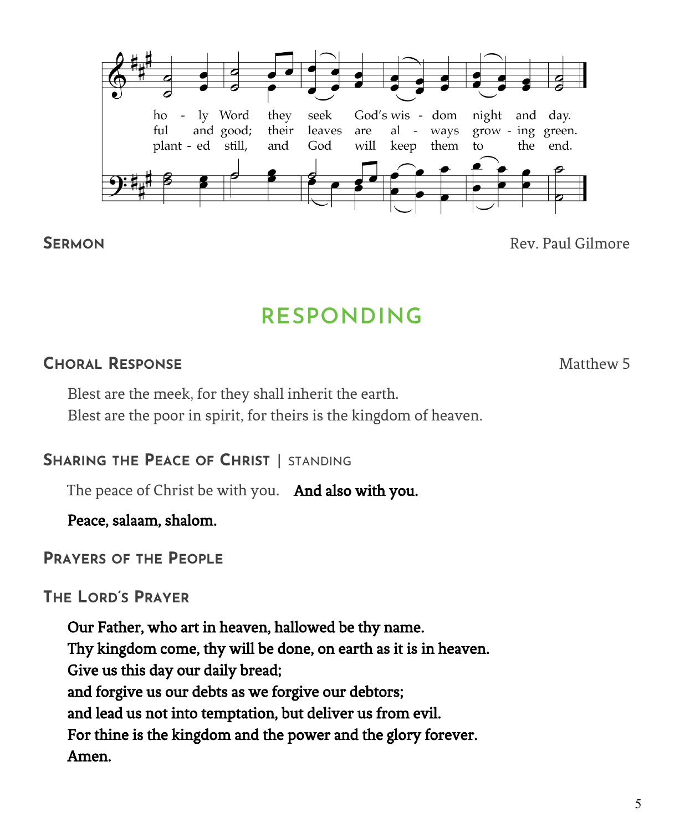

**SERMON** Rev. Paul Gilmore

## **RESPONDING**

## **CHORAL RESPONSE** Matthew 5

Blest are the meek, for they shall inherit the earth. Blest are the poor in spirit, for theirs is the kingdom of heaven.

## **SHARING THE PEACE OF CHRIST** | STANDING

The peace of Christ be with you. And also with you.

Peace, salaam, shalom.

## **PRAYERS OF THE PEOPLE**

## **THE LORD'S PRAYER**

Our Father, who art in heaven, hallowed be thy name. Thy kingdom come, thy will be done, on earth as it is in heaven. Give us this day our daily bread; and forgive us our debts as we forgive our debtors; and lead us not into temptation, but deliver us from evil. For thine is the kingdom and the power and the glory forever. Amen.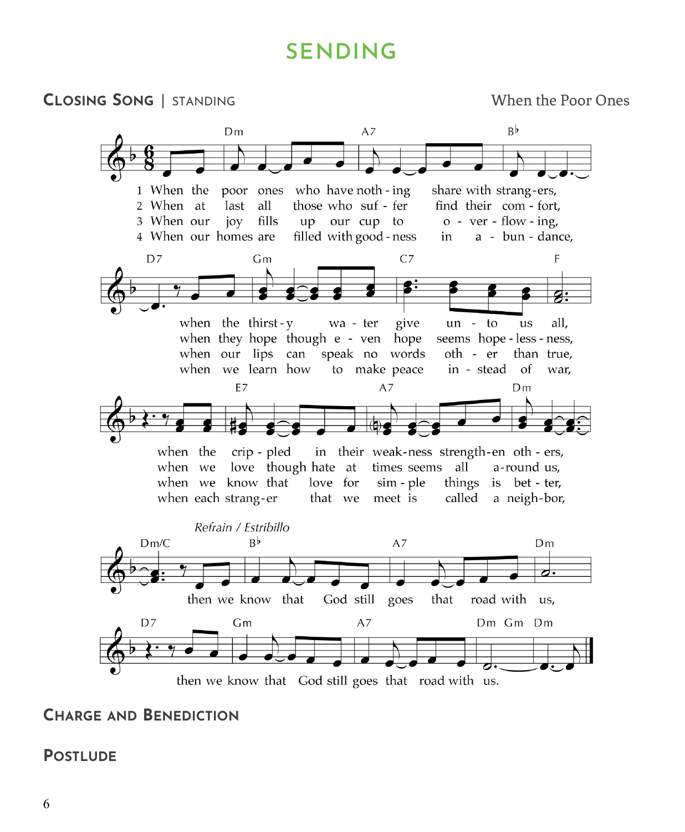## **SENDING**



## **CHARGE AND BENEDICTION**

#### **POSTLUDE**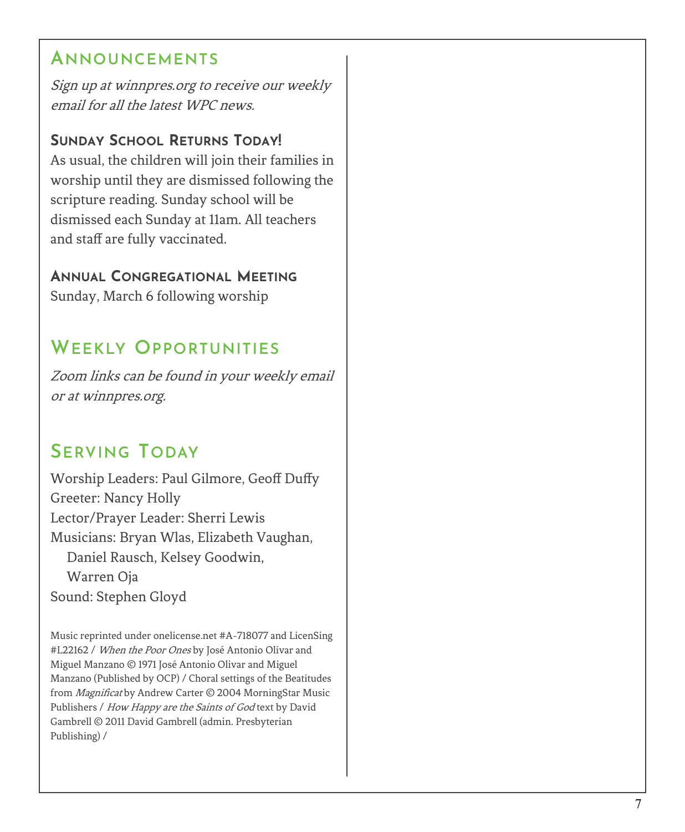## **ANNOUNCEMENTS**

Sign up at winnpres.org to receive our weekly email for all the latest WPC news.

## **SUNDAY SCHOOL RETURNS TODAY !**

As usual, the children will join their families in worship until they are dismissed following the scripture reading. Sunday school will be dismissed each Sunday at 11am. All teachers and staff are fully vaccinated.

## **ANNUAL CONGREGATIONAL MEETING**

Sunday, March 6 following worship

## **WEEKLY OPPORTUNITIES**

Zoom links can be found in your weekly email or at winnpres.org.

## **SERVING TODAY**

Worship Leaders: Paul Gilmore, Geoff Duffy Greeter: Nancy Holly Lector/Prayer Leader: Sherri Lewis Musicians: Bryan Wlas, Elizabeth Vaughan, Daniel Rausch, Kelsey Goodwin, Warren Oja Sound: Stephen Gloyd

Music reprinted under onelicense.net #A -718077 and LicenSing #L22162 / When the Poor Ones by José Antonio Olivar and Miguel Manzano © 1971 José Antonio Olivar and Miguel Manzano (Published by OCP) / Choral settings of the Beatitudes from Magnificat by Andrew Carter © 2004 MorningStar Music Publishers / How Happy are the Saints of God text by David Gambrell © 2011 David Gambrell (admin. Presbyterian Publishing) /